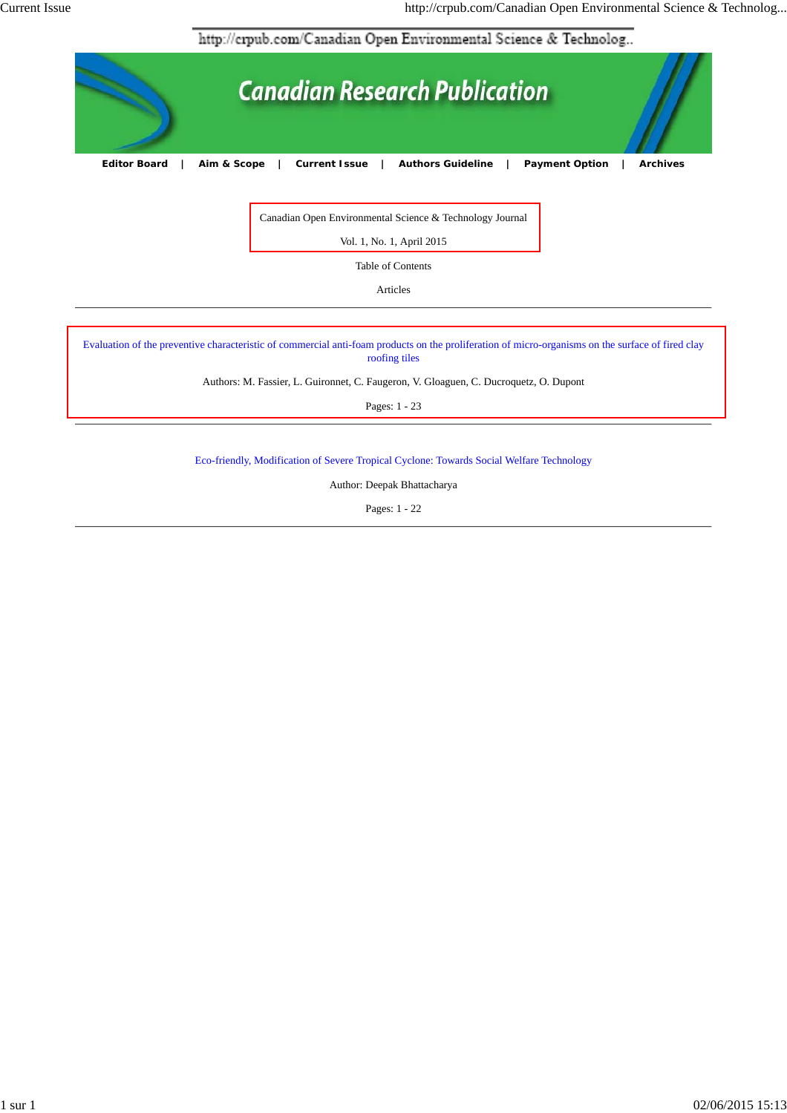http://crpub.com/Canadian Open Environmental Science & Technolog...



Canadian Open Environmental Science & Technology Journal

Vol. 1, No. 1, April 2015

Table of Contents

Articles

Evaluation of the preventive characteristic of commercial anti-foam products on the proliferation of micro-organisms on the surface of fired clay roofing tiles

Authors: M. Fassier, L. Guironnet, C. Faugeron, V. Gloaguen, C. Ducroquetz, O. Dupont

Pages: 1 - 23

Eco-friendly, Modification of Severe Tropical Cyclone: Towards Social Welfare Technology

Author: Deepak Bhattacharya

Pages: 1 - 22